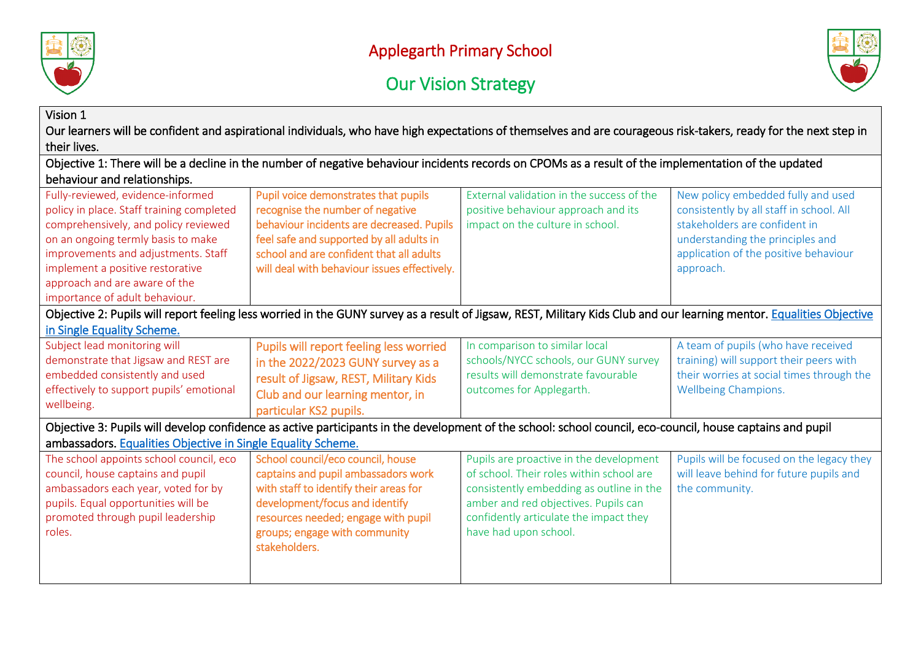





| Vision 1                                                                                                                                                                                                                                                                                                   | Our learners will be confident and aspirational individuals, who have high expectations of themselves and are courageous risk-takers, ready for the next step in                                                                                              |                                                                                                                                                                                                                                            |                                                                                                                                                                                                           |
|------------------------------------------------------------------------------------------------------------------------------------------------------------------------------------------------------------------------------------------------------------------------------------------------------------|---------------------------------------------------------------------------------------------------------------------------------------------------------------------------------------------------------------------------------------------------------------|--------------------------------------------------------------------------------------------------------------------------------------------------------------------------------------------------------------------------------------------|-----------------------------------------------------------------------------------------------------------------------------------------------------------------------------------------------------------|
| their lives.                                                                                                                                                                                                                                                                                               |                                                                                                                                                                                                                                                               |                                                                                                                                                                                                                                            |                                                                                                                                                                                                           |
|                                                                                                                                                                                                                                                                                                            | Objective 1: There will be a decline in the number of negative behaviour incidents records on CPOMs as a result of the implementation of the updated                                                                                                          |                                                                                                                                                                                                                                            |                                                                                                                                                                                                           |
| behaviour and relationships.                                                                                                                                                                                                                                                                               |                                                                                                                                                                                                                                                               |                                                                                                                                                                                                                                            |                                                                                                                                                                                                           |
| Fully-reviewed, evidence-informed<br>policy in place. Staff training completed<br>comprehensively, and policy reviewed<br>on an ongoing termly basis to make<br>improvements and adjustments. Staff<br>implement a positive restorative<br>approach and are aware of the<br>importance of adult behaviour. | Pupil voice demonstrates that pupils<br>recognise the number of negative<br>behaviour incidents are decreased. Pupils<br>feel safe and supported by all adults in<br>school and are confident that all adults<br>will deal with behaviour issues effectively. | External validation in the success of the<br>positive behaviour approach and its<br>impact on the culture in school.                                                                                                                       | New policy embedded fully and used<br>consistently by all staff in school. All<br>stakeholders are confident in<br>understanding the principles and<br>application of the positive behaviour<br>approach. |
| in Single Equality Scheme.                                                                                                                                                                                                                                                                                 | Objective 2: Pupils will report feeling less worried in the GUNY survey as a result of Jigsaw, REST, Military Kids Club and our learning mentor. Equalities Objective                                                                                         |                                                                                                                                                                                                                                            |                                                                                                                                                                                                           |
| Subject lead monitoring will<br>demonstrate that Jigsaw and REST are<br>embedded consistently and used<br>effectively to support pupils' emotional<br>wellbeing.                                                                                                                                           | Pupils will report feeling less worried<br>in the 2022/2023 GUNY survey as a<br>result of Jigsaw, REST, Military Kids<br>Club and our learning mentor, in<br>particular KS2 pupils.                                                                           | In comparison to similar local<br>schools/NYCC schools, our GUNY survey<br>results will demonstrate favourable<br>outcomes for Applegarth.                                                                                                 | A team of pupils (who have received<br>training) will support their peers with<br>their worries at social times through the<br>Wellbeing Champions.                                                       |
|                                                                                                                                                                                                                                                                                                            | Objective 3: Pupils will develop confidence as active participants in the development of the school: school council, eco-council, house captains and pupil                                                                                                    |                                                                                                                                                                                                                                            |                                                                                                                                                                                                           |
| ambassadors. Equalities Objective in Single Equality Scheme.                                                                                                                                                                                                                                               |                                                                                                                                                                                                                                                               |                                                                                                                                                                                                                                            |                                                                                                                                                                                                           |
| The school appoints school council, eco<br>council, house captains and pupil<br>ambassadors each year, voted for by<br>pupils. Equal opportunities will be<br>promoted through pupil leadership<br>roles.                                                                                                  | School council/eco council, house<br>captains and pupil ambassadors work<br>with staff to identify their areas for<br>development/focus and identify<br>resources needed; engage with pupil<br>groups; engage with community<br>stakeholders.                 | Pupils are proactive in the development<br>of school. Their roles within school are<br>consistently embedding as outline in the<br>amber and red objectives. Pupils can<br>confidently articulate the impact they<br>have had upon school. | Pupils will be focused on the legacy they<br>will leave behind for future pupils and<br>the community.                                                                                                    |
|                                                                                                                                                                                                                                                                                                            |                                                                                                                                                                                                                                                               |                                                                                                                                                                                                                                            |                                                                                                                                                                                                           |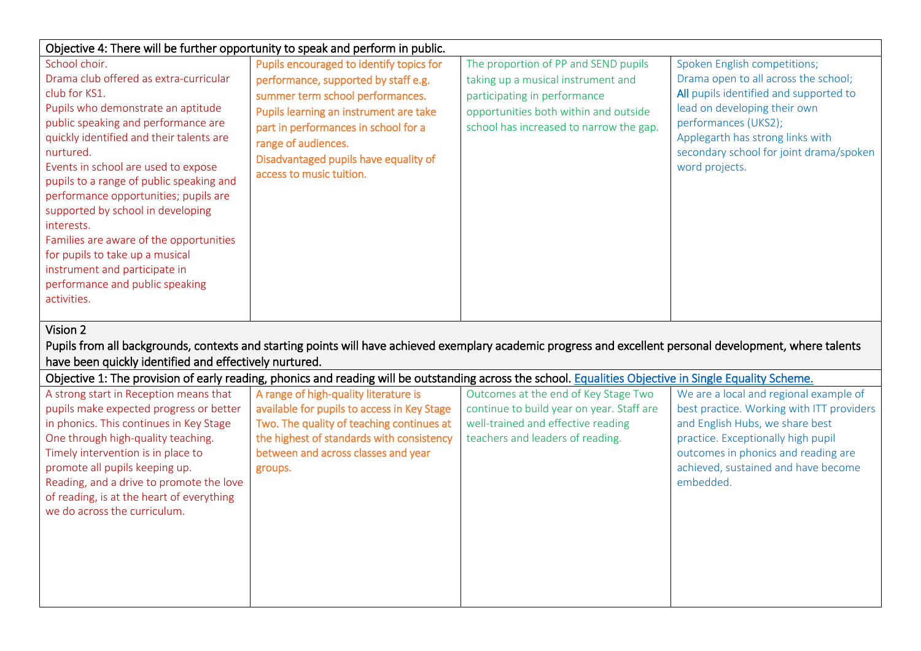| Objective 4: There will be further opportunity to speak and perform in public.                                                                                                                                                                                                                                                                                                                                                                                                                                                                                 |                                                                                                                                                                                                                                                                                                    |                                                                                                                                                                                                |                                                                                                                                                                                                                                                                         |
|----------------------------------------------------------------------------------------------------------------------------------------------------------------------------------------------------------------------------------------------------------------------------------------------------------------------------------------------------------------------------------------------------------------------------------------------------------------------------------------------------------------------------------------------------------------|----------------------------------------------------------------------------------------------------------------------------------------------------------------------------------------------------------------------------------------------------------------------------------------------------|------------------------------------------------------------------------------------------------------------------------------------------------------------------------------------------------|-------------------------------------------------------------------------------------------------------------------------------------------------------------------------------------------------------------------------------------------------------------------------|
| School choir.<br>Drama club offered as extra-curricular<br>club for KS1.<br>Pupils who demonstrate an aptitude<br>public speaking and performance are<br>quickly identified and their talents are<br>nurtured.<br>Events in school are used to expose<br>pupils to a range of public speaking and<br>performance opportunities; pupils are<br>supported by school in developing<br>interests.<br>Families are aware of the opportunities<br>for pupils to take up a musical<br>instrument and participate in<br>performance and public speaking<br>activities. | Pupils encouraged to identify topics for<br>performance, supported by staff e.g.<br>summer term school performances.<br>Pupils learning an instrument are take<br>part in performances in school for a<br>range of audiences.<br>Disadvantaged pupils have equality of<br>access to music tuition. | The proportion of PP and SEND pupils<br>taking up a musical instrument and<br>participating in performance<br>opportunities both within and outside<br>school has increased to narrow the gap. | Spoken English competitions;<br>Drama open to all across the school;<br>All pupils identified and supported to<br>lead on developing their own<br>performances (UKS2);<br>Applegarth has strong links with<br>secondary school for joint drama/spoken<br>word projects. |
| Vision 2<br>have been quickly identified and effectively nurtured.                                                                                                                                                                                                                                                                                                                                                                                                                                                                                             | Pupils from all backgrounds, contexts and starting points will have achieved exemplary academic progress and excellent personal development, where talents                                                                                                                                         |                                                                                                                                                                                                |                                                                                                                                                                                                                                                                         |
| Objective 1: The provision of early reading, phonics and reading will be outstanding across the school. Equalities Objective in Single Equality Scheme.                                                                                                                                                                                                                                                                                                                                                                                                        |                                                                                                                                                                                                                                                                                                    |                                                                                                                                                                                                |                                                                                                                                                                                                                                                                         |
|                                                                                                                                                                                                                                                                                                                                                                                                                                                                                                                                                                |                                                                                                                                                                                                                                                                                                    |                                                                                                                                                                                                |                                                                                                                                                                                                                                                                         |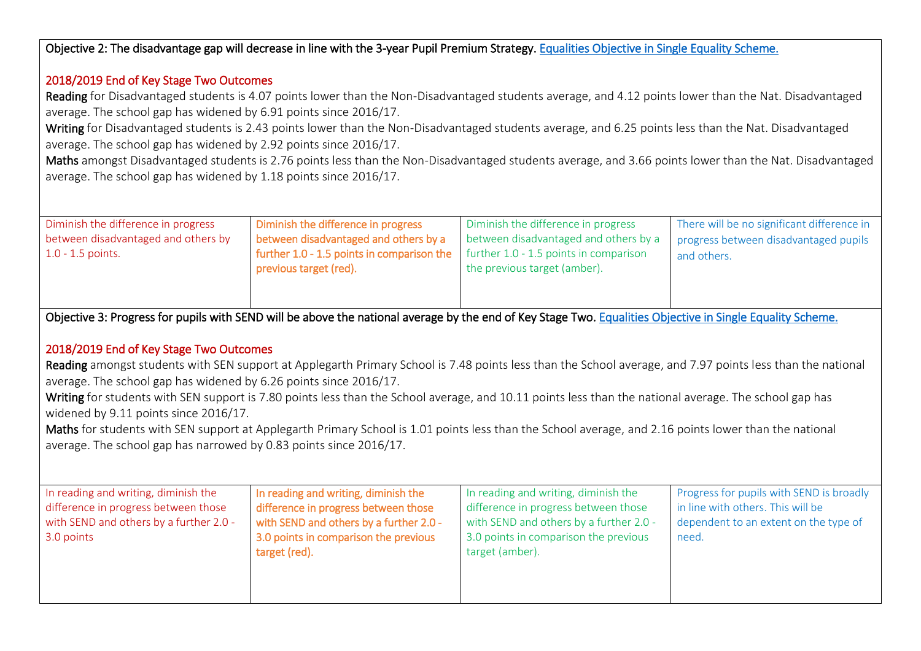Objective 2: The disadvantage gap will decrease in line with the 3-year Pupil Premium Strategy. [Equalities Objective in Single Equality Scheme.](https://www.applegarth.n-yorks.sch.uk/key-information/school-policies/) 

#### 2018/2019 End of Key Stage Two Outcomes

Reading for Disadvantaged students is 4.07 points lower than the Non-Disadvantaged students average, and 4.12 points lower than the Nat. Disadvantaged average. The school gap has widened by 6.91 points since 2016/17.

Writing for Disadvantaged students is 2.43 points lower than the Non-Disadvantaged students average, and 6.25 points less than the Nat. Disadvantaged average. The school gap has widened by 2.92 points since 2016/17.

Maths amongst Disadvantaged students is 2.76 points less than the Non-Disadvantaged students average, and 3.66 points lower than the Nat. Disadvantaged average. The school gap has widened by 1.18 points since 2016/17.

| Diminish the difference in progress<br>between disadvantaged and others by<br>$1.0 - 1.5$ points. | Diminish the difference in progress<br>between disadvantaged and others by a<br><b>further 1.0 - 1.5 points in comparison the</b> $\vert$ further 1.0 - 1.5 points in comparison | Diminish the difference in progress<br>between disadvantaged and others by a | There will be no significant difference in<br>progress between disadvantaged pupils<br>and others. |
|---------------------------------------------------------------------------------------------------|----------------------------------------------------------------------------------------------------------------------------------------------------------------------------------|------------------------------------------------------------------------------|----------------------------------------------------------------------------------------------------|
|                                                                                                   | previous target (red).                                                                                                                                                           | the previous target (amber).                                                 |                                                                                                    |

Objective 3: Progress for pupils with SEND will be above the national average by the end of Key Stage Two[. Equalities Objective in Single Equality Scheme.](https://www.applegarth.n-yorks.sch.uk/key-information/school-policies/) 

### 2018/2019 End of Key Stage Two Outcomes

Reading amongst students with SEN support at Applegarth Primary School is 7.48 points less than the School average, and 7.97 points less than the national average. The school gap has widened by 6.26 points since 2016/17.

Writing for students with SEN support is 7.80 points less than the School average, and 10.11 points less than the national average. The school gap has widened by 9.11 points since 2016/17.

Maths for students with SEN support at Applegarth Primary School is 1.01 points less than the School average, and 2.16 points lower than the national average. The school gap has narrowed by 0.83 points since 2016/17.

| In reading and writing, diminish the<br>difference in progress between those<br>with SEND and others by a further 2.0 -<br>3.0 points | In reading and writing, diminish the<br>difference in progress between those<br>with SEND and others by a further 2.0 -<br>3.0 points in comparison the previous<br>target (red). | In reading and writing, diminish the<br>difference in progress between those<br>with SEND and others by a further 2.0 -<br>3.0 points in comparison the previous<br>target (amber). | Progress for pupils with SEND is broadly<br>in line with others. This will be<br>dependent to an extent on the type of<br>need. |
|---------------------------------------------------------------------------------------------------------------------------------------|-----------------------------------------------------------------------------------------------------------------------------------------------------------------------------------|-------------------------------------------------------------------------------------------------------------------------------------------------------------------------------------|---------------------------------------------------------------------------------------------------------------------------------|
|                                                                                                                                       |                                                                                                                                                                                   |                                                                                                                                                                                     |                                                                                                                                 |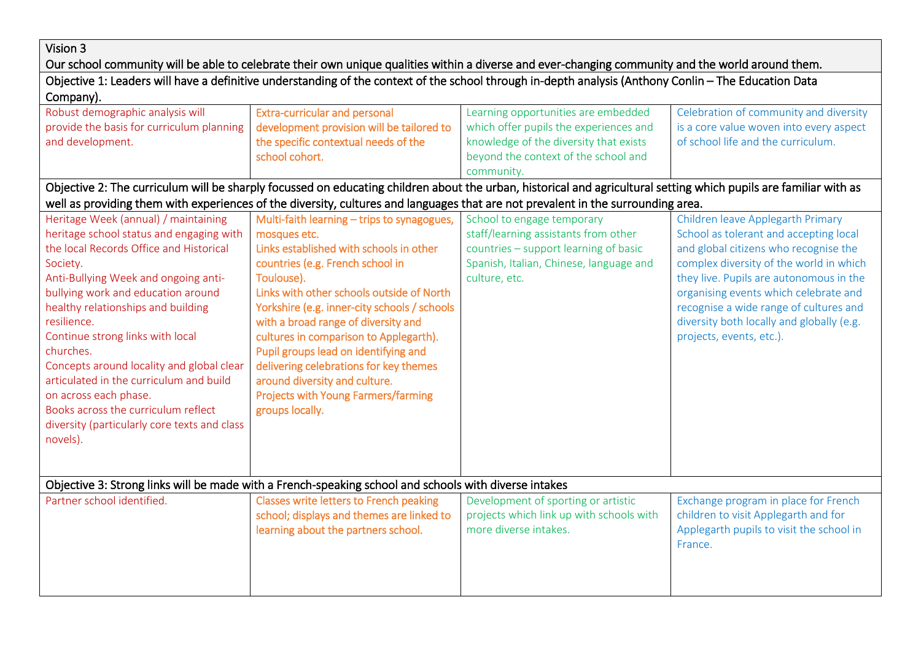## Vision 3

Our school community will be able to celebrate their own unique qualities within a diverse and ever-changing community and the world around them.

| Objective 1: Leaders will have a definitive understanding of the context of the school through in-depth analysis (Anthony Conlin – The Education Data |                                      |                                     |                                     |  |
|-------------------------------------------------------------------------------------------------------------------------------------------------------|--------------------------------------|-------------------------------------|-------------------------------------|--|
| Company).                                                                                                                                             |                                      |                                     |                                     |  |
| Robust demographic analysis will                                                                                                                      | <b>Extra-curricular and perconal</b> | Learning apportunities are embedded | Colebration of community and divers |  |

| Robust demographic analysis will             | <b>Extra-curricular and personal</b>                                                                                                                              | Learning opportunities are embedded      | Celebration of community and diversity    |  |  |  |
|----------------------------------------------|-------------------------------------------------------------------------------------------------------------------------------------------------------------------|------------------------------------------|-------------------------------------------|--|--|--|
| provide the basis for curriculum planning    | development provision will be tailored to                                                                                                                         | which offer pupils the experiences and   | is a core value woven into every aspect   |  |  |  |
| and development.                             | the specific contextual needs of the                                                                                                                              | knowledge of the diversity that exists   | of school life and the curriculum.        |  |  |  |
|                                              | school cohort.                                                                                                                                                    | beyond the context of the school and     |                                           |  |  |  |
|                                              |                                                                                                                                                                   | community.                               |                                           |  |  |  |
|                                              | Objective 2: The curriculum will be sharply focussed on educating children about the urban, historical and agricultural setting which pupils are familiar with as |                                          |                                           |  |  |  |
|                                              | well as providing them with experiences of the diversity, cultures and languages that are not prevalent in the surrounding area.                                  |                                          |                                           |  |  |  |
| Heritage Week (annual) / maintaining         | Multi-faith learning - trips to synagogues,                                                                                                                       | School to engage temporary               | Children leave Applegarth Primary         |  |  |  |
| heritage school status and engaging with     | mosques etc.                                                                                                                                                      | staff/learning assistants from other     | School as tolerant and accepting local    |  |  |  |
| the local Records Office and Historical      | Links established with schools in other                                                                                                                           | countries - support learning of basic    | and global citizens who recognise the     |  |  |  |
| Society.                                     | countries (e.g. French school in                                                                                                                                  | Spanish, Italian, Chinese, language and  | complex diversity of the world in which   |  |  |  |
| Anti-Bullying Week and ongoing anti-         | Toulouse).                                                                                                                                                        | culture, etc.                            | they live. Pupils are autonomous in the   |  |  |  |
| bullying work and education around           | Links with other schools outside of North                                                                                                                         |                                          | organising events which celebrate and     |  |  |  |
| healthy relationships and building           | Yorkshire (e.g. inner-city schools / schools                                                                                                                      |                                          | recognise a wide range of cultures and    |  |  |  |
| resilience.                                  | with a broad range of diversity and                                                                                                                               |                                          | diversity both locally and globally (e.g. |  |  |  |
| Continue strong links with local             | cultures in comparison to Applegarth).                                                                                                                            |                                          | projects, events, etc.).                  |  |  |  |
| churches.                                    | Pupil groups lead on identifying and                                                                                                                              |                                          |                                           |  |  |  |
| Concepts around locality and global clear    | delivering celebrations for key themes                                                                                                                            |                                          |                                           |  |  |  |
| articulated in the curriculum and build      | around diversity and culture.                                                                                                                                     |                                          |                                           |  |  |  |
| on across each phase.                        | <b>Projects with Young Farmers/farming</b>                                                                                                                        |                                          |                                           |  |  |  |
| Books across the curriculum reflect          | groups locally.                                                                                                                                                   |                                          |                                           |  |  |  |
| diversity (particularly core texts and class |                                                                                                                                                                   |                                          |                                           |  |  |  |
| novels).                                     |                                                                                                                                                                   |                                          |                                           |  |  |  |
|                                              |                                                                                                                                                                   |                                          |                                           |  |  |  |
|                                              |                                                                                                                                                                   |                                          |                                           |  |  |  |
|                                              | Objective 3: Strong links will be made with a French-speaking school and schools with diverse intakes                                                             |                                          |                                           |  |  |  |
| Partner school identified.                   | Classes write letters to French peaking                                                                                                                           | Development of sporting or artistic      | Exchange program in place for French      |  |  |  |
|                                              | school; displays and themes are linked to                                                                                                                         | projects which link up with schools with | children to visit Applegarth and for      |  |  |  |
|                                              | learning about the partners school.                                                                                                                               | more diverse intakes.                    | Applegarth pupils to visit the school in  |  |  |  |
|                                              |                                                                                                                                                                   |                                          | France.                                   |  |  |  |
|                                              |                                                                                                                                                                   |                                          |                                           |  |  |  |
|                                              |                                                                                                                                                                   |                                          |                                           |  |  |  |
|                                              |                                                                                                                                                                   |                                          |                                           |  |  |  |
|                                              |                                                                                                                                                                   |                                          |                                           |  |  |  |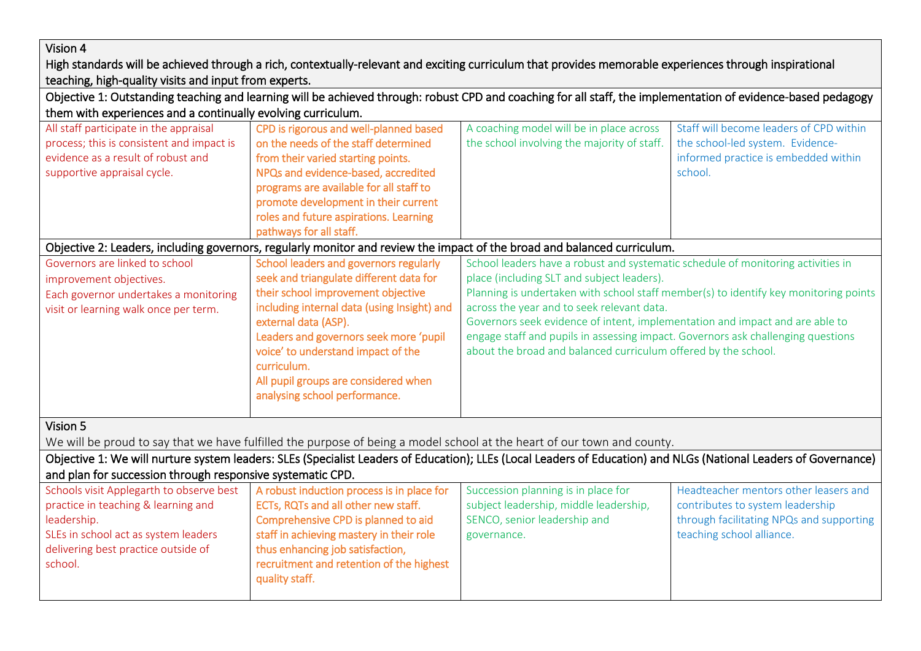### Vision 4

High standards will be achieved through a rich, contextually-relevant and exciting curriculum that provides memorable experiences through inspirational teaching, high-quality visits and input from experts.

| Objective 1: Outstanding teaching and learning will be achieved through: robust CPD and coaching for all staff, the implementation of evidence-based pedagogy |                                             |                                                                                                                                                                  |                                          |  |
|---------------------------------------------------------------------------------------------------------------------------------------------------------------|---------------------------------------------|------------------------------------------------------------------------------------------------------------------------------------------------------------------|------------------------------------------|--|
| them with experiences and a continually evolving curriculum.                                                                                                  |                                             |                                                                                                                                                                  |                                          |  |
| All staff participate in the appraisal                                                                                                                        | CPD is rigorous and well-planned based      | A coaching model will be in place across                                                                                                                         | Staff will become leaders of CPD within  |  |
| process; this is consistent and impact is                                                                                                                     | on the needs of the staff determined        | the school involving the majority of staff.                                                                                                                      | the school-led system. Evidence-         |  |
| evidence as a result of robust and                                                                                                                            | from their varied starting points.          |                                                                                                                                                                  | informed practice is embedded within     |  |
| supportive appraisal cycle.                                                                                                                                   | NPQs and evidence-based, accredited         |                                                                                                                                                                  | school.                                  |  |
|                                                                                                                                                               | programs are available for all staff to     |                                                                                                                                                                  |                                          |  |
|                                                                                                                                                               | promote development in their current        |                                                                                                                                                                  |                                          |  |
|                                                                                                                                                               | roles and future aspirations. Learning      |                                                                                                                                                                  |                                          |  |
|                                                                                                                                                               | pathways for all staff.                     |                                                                                                                                                                  |                                          |  |
|                                                                                                                                                               |                                             | Objective 2: Leaders, including governors, regularly monitor and review the impact of the broad and balanced curriculum.                                         |                                          |  |
| Governors are linked to school<br>School leaders and governors regularly<br>School leaders have a robust and systematic schedule of monitoring activities in  |                                             |                                                                                                                                                                  |                                          |  |
| improvement objectives.                                                                                                                                       | seek and triangulate different data for     | place (including SLT and subject leaders).                                                                                                                       |                                          |  |
| Each governor undertakes a monitoring                                                                                                                         | their school improvement objective          | Planning is undertaken with school staff member(s) to identify key monitoring points                                                                             |                                          |  |
| visit or learning walk once per term.                                                                                                                         | including internal data (using Insight) and | across the year and to seek relevant data.                                                                                                                       |                                          |  |
|                                                                                                                                                               | external data (ASP).                        | Governors seek evidence of intent, implementation and impact and are able to                                                                                     |                                          |  |
|                                                                                                                                                               | Leaders and governors seek more 'pupil      | engage staff and pupils in assessing impact. Governors ask challenging questions                                                                                 |                                          |  |
|                                                                                                                                                               | voice' to understand impact of the          | about the broad and balanced curriculum offered by the school.                                                                                                   |                                          |  |
|                                                                                                                                                               | curriculum.                                 |                                                                                                                                                                  |                                          |  |
|                                                                                                                                                               | All pupil groups are considered when        |                                                                                                                                                                  |                                          |  |
|                                                                                                                                                               | analysing school performance.               |                                                                                                                                                                  |                                          |  |
|                                                                                                                                                               |                                             |                                                                                                                                                                  |                                          |  |
| Vision 5                                                                                                                                                      |                                             |                                                                                                                                                                  |                                          |  |
|                                                                                                                                                               |                                             | We will be proud to say that we have fulfilled the purpose of being a model school at the heart of our town and county.                                          |                                          |  |
|                                                                                                                                                               |                                             | Objective 1: We will nurture system leaders: SLEs (Specialist Leaders of Education); LLEs (Local Leaders of Education) and NLGs (National Leaders of Governance) |                                          |  |
| and plan for succession through responsive systematic CPD.                                                                                                    |                                             |                                                                                                                                                                  |                                          |  |
| Schools visit Applegarth to observe best                                                                                                                      | A robust induction process is in place for  | Succession planning is in place for                                                                                                                              | Headteacher mentors other leasers and    |  |
| practice in teaching & learning and                                                                                                                           | ECTs, RQTs and all other new staff.         | subject leadership, middle leadership,                                                                                                                           | contributes to system leadership         |  |
| leadership.                                                                                                                                                   | Comprehensive CPD is planned to aid         | SENCO, senior leadership and                                                                                                                                     | through facilitating NPQs and supporting |  |
| SLEs in school act as system leaders                                                                                                                          | staff in achieving mastery in their role    | governance.                                                                                                                                                      | teaching school alliance.                |  |
| delivering best practice outside of                                                                                                                           | thus enhancing job satisfaction,            |                                                                                                                                                                  |                                          |  |
| school.                                                                                                                                                       | recruitment and retention of the highest    |                                                                                                                                                                  |                                          |  |
|                                                                                                                                                               | quality staff.                              |                                                                                                                                                                  |                                          |  |
|                                                                                                                                                               |                                             |                                                                                                                                                                  |                                          |  |